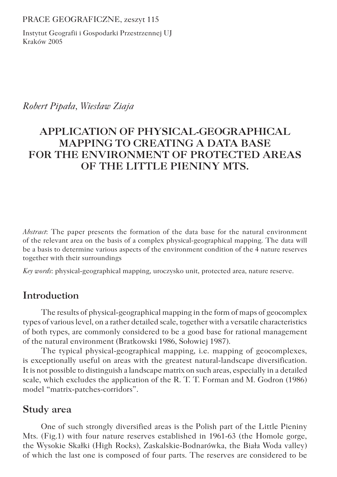PRACE GEOGRAFICZNE, zeszyt 115

Instytut Geografii i Gospodarki Przestrzennej UJ Kraków 2005

## *Robert Pipała, Wiesław Ziaja*

# **APPLICATION OF PHYSICAL-GEOGRAPHICAL MAPPING TO CREATING A DATA BASE FOR THE ENVIRONMENT OF PROTECTED AREAS OF THE LITTLE PIENINY MTS.**

*Abstract*: The paper presents the formation of the data base for the natural environment of the relevant area on the basis of a complex physical-geographical mapping. The data will be a basis to determine various aspects of the environment condition of the 4 nature reserves together with their surroundings

*Key words*: physical-geographical mapping, uroczysko unit, protected area, nature reserve.

## **Introduction**

The results of physical-geographical mapping in the form of maps of geocomplex types of various level, on a rather detailed scale, together with a versatile characteristics of both types, are commonly considered to be a good base for rational management of the natural environment (Bratkowski 1986, Sołowiej 1987).

The typical physical-geographical mapping, i.e. mapping of geocomplexes, is exceptionally useful on areas with the greatest natural-landscape diversification. It is not possible to distinguish a landscape matrix on such areas, especially in a detailed scale, which excludes the application of the R. T. T. Forman and M. Godron (1986) model "matrix-patches-corridors".

## **Study area**

One of such strongly diversified areas is the Polish part of the Little Pieniny Mts. (Fig.1) with four nature reserves established in 1961-63 (the Homole gorge, the Wysokie Skałki (High Rocks), Zaskalskie-Bodnarówka, the Biała Woda valley) of which the last one is composed of four parts. The reserves are considered to be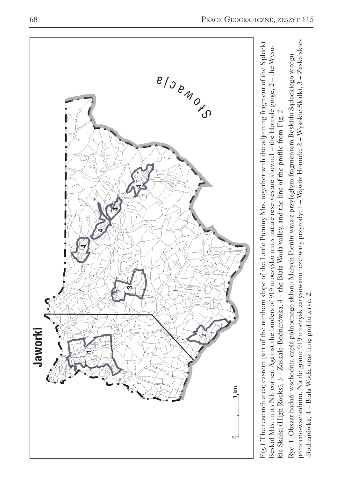

północno-wschodnim. Na tle granic 919 uroczysk zarysowano rezerwaty przyrody: 1 – Wąwóz Homole, 2 – Wysokie Skałki, 3 – Zaskalskiepółnocno-wschodnim. Na tle granic 919 uroczysk zarysowano rezerwaty przyrody: 1 – Wąwóz Homole, 2 – Wysokie Skałki, 3 – Zaskalskie- Ryc. 1. Obszar badań: wschodnia część północnego skłonu Małych Pienin wraz z przyległym fragmentem Beskidu Sądeckiego w rogu Ryc. 1. Obszar badań: wschodnia część północnego skłonu Małych Pienin wraz z przyległym fragmentem Beskidu Sądeckiego w rogu sie Skałki (High Rocks), 3 – Zaskale-Bodnarówka, 4 – the Biała Woda valley, and the line of the profile from Fig. 2 kie Skałki (High Rocks), 3 – Zaskale-Bodnarówka, 4 – the Biała Woda valley, and the line of the profile from Fig. 2

-Bodnarówka, 4 – Biała Woda, oraz linię profilu z ryc. 2.

-Bodnarówka, 4 - Biała Woda, oraz linię profilu z ryc. 2.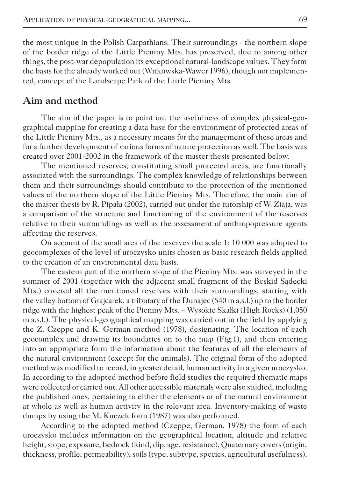the most unique in the Polish Carpathians. Their surroundings - the northern slope of the border ridge of the Little Pieniny Mts. has preserved, due to among other things, the post-war depopulation its exceptional natural-landscape values. They form the basis for the already worked out (Witkowska-Wawer 1996), though not implemented, concept of the Landscape Park of the Little Pieniny Mts.

### **Aim and method**

The aim of the paper is to point out the usefulness of complex physical-geographical mapping for creating a data base for the environment of protected areas of the Little Pieniny Mts., as a necessary means for the management of these areas and for a further development of various forms of nature protection as well. The basis was created over 2001-2002 in the framework of the master thesis presented below.

The mentioned reserves, constituting small protected areas, are functionally associated with the surroundings. The complex knowledge of relationships between them and their surroundings should contribute to the protection of the mentioned values of the northern slope of the Little Pieniny Mts. Therefore, the main aim of the master thesis by R. Pipała (2002), carried out under the tutorship of W. Ziaja, was a comparison of the structure and functioning of the environment of the reserves relative to their surroundings as well as the assessment of anthropopressure agents affecting the reserves.

On account of the small area of the reserves the scale 1: 10 000 was adopted to geocomplexes of the level of uroczysko units chosen as basic research fields applied to the creation of an environmental data basis.

The eastern part of the northern slope of the Pieniny Mts. was surveyed in the summer of 2001 (together with the adjacent small fragment of the Beskid Sadecki Mts.) covered all the mentioned reserves with their surroundings, starting with the valley bottom of Grajcarek, a tributary of the Dunajec (540 m a.s.l.) up to the border ridge with the highest peak of the Pieniny Mts. – Wysokie Skałki (High Rocks) (1,050 m a.s.l.). The physical-geographical mapping was carried out in the field by applying the Z. Czeppe and K. German method (1978), designating. The location of each geocomplex and drawing its boundaries on to the map (Fig.1), and then entering into an appropriate form the information about the features of all the elements of the natural environment (except for the animals). The original form of the adopted method was modified to record, in greater detail, human activity in a given uroczysko. In according to the adopted method before field studies the required thematic maps were collected or carried out. All other accessible materials were also studied, including the published ones, pertaining to either the elements or of the natural environment at whole as well as human activity in the relevant area. Inventory-making of waste dumps by using the M. Kuczek form (1987) was also performed.

According to the adopted method (Czeppe, German, 1978) the form of each uroczysko includes information on the geographical location, altitude and relative height, slope, exposure, bedrock (kind, dip, age, resistance), Quaternary covers (origin, thickness, profile, permeability), soils (type, subtype, species, agricultural usefulness),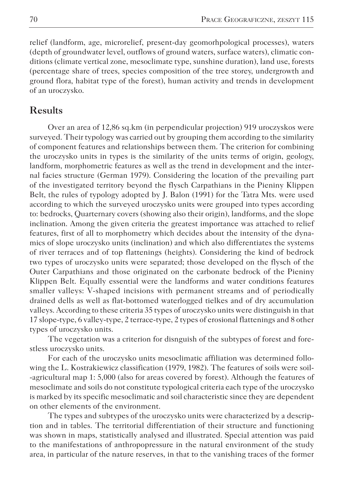relief (landform, age, microrelief, present-day geomorhpological processes), waters (depth of groundwater level, outflows of ground waters, surface waters), climatic conditions (climate vertical zone, mesoclimate type, sunshine duration), land use, forests (percentage share of trees, species composition of the tree storey, undergrowth and ground flora, habitat type of the forest), human activity and trends in development of an uroczysko.

## **Results**

Over an area of 12,86 sq.km (in perpendicular projection) 919 uroczyskos were surveyed. Their typology was carried out by grouping them according to the similarity of component features and relationships between them. The criterion for combining the uroczysko units in types is the similarity of the units terms of origin, geology, landform, morphometric features as well as the trend in development and the internal facies structure (German 1979). Considering the location of the prevailing part of the investigated territory beyond the flysch Carpathians in the Pieniny Klippen Belt, the rules of typology adopted by J. Balon (1991) for the Tatra Mts. were used according to which the surveyed uroczysko units were grouped into types according to: bedrocks, Quarternary covers (showing also their origin), landforms, and the slope inclination. Among the given criteria the greatest importance was attached to relief features, first of all to morphometry which decides about the intensity of the dynamics of slope uroczysko units (inclination) and which also differentiates the systems of river terraces and of top flattenings (heights). Considering the kind of bedrock two types of uroczysko units were separated; those developed on the flysch of the Outer Carpathians and those originated on the carbonate bedrock of the Pieniny Klippen Belt. Equally essential were the landforms and water conditions features smaller valleys: V-shaped incisions with permanent streams and of periodically drained dells as well as flat-bottomed waterlogged tielkes and of dry accumulation valleys. According to these criteria 35 types of uroczysko units were distinguish in that 17 slope-type, 6 valley-type, 2 terrace-type, 2 types of erosional flattenings and 8 other types of uroczysko units.

The vegetation was a criterion for disnguish of the subtypes of forest and forestless uroczysko units.

For each of the uroczysko units mesoclimatic affiliation was determined following the L. Kostrakiewicz classification (1979, 1982). The features of soils were soil- -agricultural map 1: 5,000 (also for areas covered by forest). Although the features of mesoclimate and soils do not constitute typological criteria each type of the uroczysko is marked by its specific mesoclimatic and soil characteristic since they are dependent on other elements of the environment.

The types and subtypes of the uroczysko units were characterized by a description and in tables. The territorial differentiation of their structure and functioning was shown in maps, statistically analysed and illustrated. Special attention was paid to the manifestations of anthropopressure in the natural environment of the study area, in particular of the nature reserves, in that to the vanishing traces of the former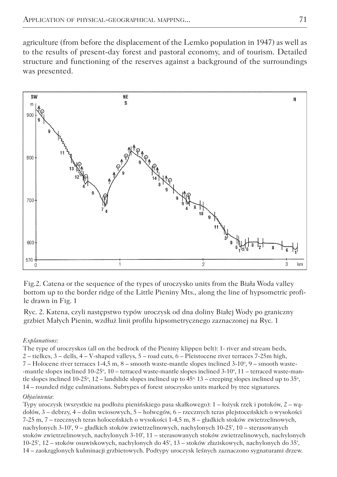agriculture (from before the displacement of the Lemko population in 1947) as well as to the results of present-day forest and pastoral economy, and of tourism. Detailed structure and functioning of the reserves against a background of the surroundings was presented.



Fig.2. Catena or the sequence of the types of uroczysko units from the Biała Woda valley bottom up to the border ridge of the Little Pieniny Mts., along the line of hypsometric profile drawn in Fig. 1

Ryc. 2. Katena, czyli następstwo typów uroczysk od dna doliny Białej Wody po graniczny grzbiet Małych Pienin, wzdłuż linii profilu hipsometrycznego zaznaczonej na Ryc. 1

#### *Explanations*:

The type of uroczyskos (all on the bedrock of the Pieniny klippen belt): 1- river and stream beds, 2 – tielkes, 3 – dells, 4 – V-shaped valleys, 5 – road cuts, 6 – Pleistocene river terraces 7-25m high,  $7 -$  Holocene river terraces 1-4,5 m,  $8 -$  smooth waste-mantle slopes inclined 3-10 $\degree$ ,  $9 -$  smooth waste--mantle slopes inclined 10-25°, 10 – terraced waste-mantle slopes inclined 3-10°, 11 – terraced waste-mantle slopes inclined 10-25°, 12 – landslide slopes inclined up to  $45^\circ$ , 13 – creeping slopes inclined up to  $35^\circ$ , 14 – rounded ridge culminations. Subtypes of forest uroczysko units marked by tree signatures.

#### *Objaśnienia*:

Typy uroczysk (wszystkie na podłożu pienińskiego pasa skałkowego): 1 – łożysk rzek i potoków, 2 – wądołów, 3 – debrzy, 4 – dolin wciosowych, 5 – holwegów, 6 – rzecznych teras plejstoceńskich o wysokości 7-25 m, 7 – rzecznych teras holoceńskich o wysokości 1-4,5 m, 8 – gładkich stoków zwietrzelinowych, nachylonych 3-10°, 9 – gładkich stoków zwietrzelinowych, nachylonych 10-25°, 10 – sterasowanych stoków zwietrzelinowych, nachylonych 3-10°, 11 – sterasowanych stoków zwietrzelinowych, nachylonych 10-25°, 12 – stoków osuwiskowych, nachylonych do 45°, 13 – stoków złaziskowych, nachylonych do 35°, 14 – zaokrąglonych kulminacji grzbietowych. Podtypy uroczysk leśnych zaznaczono sygnaturami drzew.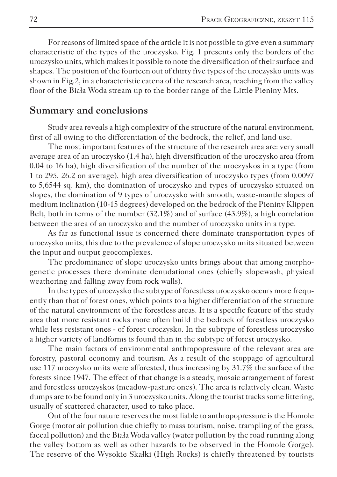For reasons of limited space of the article it is not possible to give even a summary characteristic of the types of the uroczysko. Fig. 1 presents only the borders of the uroczysko units, which makes it possible to note the diversification of their surface and shapes. The position of the fourteen out of thirty five types of the uroczysko units was shown in Fig.2, in a characteristic catena of the research area, reaching from the valley floor of the Biała Woda stream up to the border range of the Little Pieniny Mts.

### **Summary and conclusions**

Study area reveals a high complexity of the structure of the natural environment, first of all owing to the differentiation of the bedrock, the relief, and land use.

The most important features of the structure of the research area are: very small average area of an uroczysko (1.4 ha), high diversification of the uroczysko area (from 0.04 to 16 ha), high diversification of the number of the uroczyskos in a type (from 1 to 295, 26.2 on average), high area diversification of uroczysko types (from 0.0097 to 5,6544 sq. km), the domination of uroczysko and types of uroczysko situated on slopes, the domination of 9 types of uroczysko with smooth, waste-mantle slopes of medium inclination (10-15 degrees) developed on the bedrock of the Pieniny Klippen Belt, both in terms of the number (32.1%) and of surface (43.9%), a high correlation between the area of an uroczysko and the number of uroczysko units in a type.

As far as functional issue is concerned there dominate transportation types of uroczysko units, this due to the prevalence of slope uroczysko units situated between the input and output geocomplexes.

The predominance of slope uroczysko units brings about that among morphogenetic processes there dominate denudational ones (chiefly slopewash, physical weathering and falling away from rock walls).

In the types of uroczysko the subtype of forestless uroczysko occurs more frequently than that of forest ones, which points to a higher differentiation of the structure of the natural environment of the forestless areas. It is a specific feature of the study area that more resistant rocks more often build the bedrock of forestless uroczysko while less resistant ones - of forest uroczysko. In the subtype of forestless uroczysko a higher variety of landforms is found than in the subtype of forest uroczysko.

The main factors of environmental anthropopressure of the relevant area are forestry, pastoral economy and tourism. As a result of the stoppage of agricultural use 117 uroczysko units were afforested, thus increasing by 31.7% the surface of the forests since 1947. The effect of that change is a steady, mosaic arrangement of forest and forestless uroczyskos (meadow-pasture ones). The area is relatively clean. Waste dumps are to be found only in 3 uroczysko units. Along the tourist tracks some littering, usually of scattered character, used to take place.

Out of the four nature reserves the most liable to anthropopressure is the Homole Gorge (motor air pollution due chiefly to mass tourism, noise, trampling of the grass, faecal pollution) and the Biała Woda valley (water pollution by the road running along the valley bottom as well as other hazards to be observed in the Homole Gorge). The reserve of the Wysokie Skałki (High Rocks) is chiefly threatened by tourists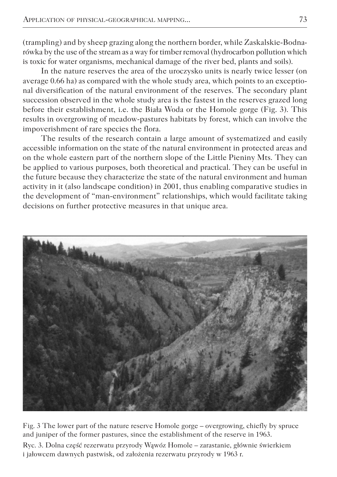(trampling) and by sheep grazing along the northern border, while Zaskalskie-Bodnarówka by the use of the stream as a way for timber removal (hydrocarbon pollution which is toxic for water organisms, mechanical damage of the river bed, plants and soils).

In the nature reserves the area of the uroczysko units is nearly twice lesser (on average 0.66 ha) as compared with the whole study area, which points to an exceptional diversification of the natural environment of the reserves. The secondary plant succession observed in the whole study area is the fastest in the reserves grazed long before their establishment, i.e. the Biała Woda or the Homole gorge (Fig. 3). This results in overgrowing of meadow-pastures habitats by forest, which can involve the impoverishment of rare species the flora.

The results of the research contain a large amount of systematized and easily accessible information on the state of the natural environment in protected areas and on the whole eastern part of the northern slope of the Little Pieniny Mts. They can be applied to various purposes, both theoretical and practical. They can be useful in the future because they characterize the state of the natural environment and human activity in it (also landscape condition) in 2001, thus enabling comparative studies in the development of "man-environment" relationships, which would facilitate taking decisions on further protective measures in that unique area.



Fig. 3 The lower part of the nature reserve Homole gorge – overgrowing, chiefly by spruce and juniper of the former pastures, since the establishment of the reserve in 1963.

Ryc. 3. Dolna część rezerwatu przyrody Wąwóz Homole – zarastanie, głównie świerkiem i jałowcem dawnych pastwisk, od założenia rezerwatu przyrody w 1963 r.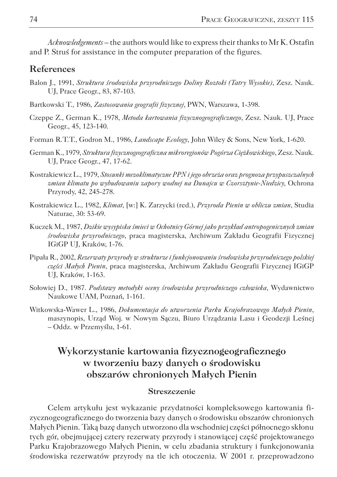*Acknowledgements* – the authors would like to express their thanks to Mr K. Ostafin and P. Struś for assistance in the computer preparation of the figures.

### **References**

- Balon J., 1991, *Struktura środowiska przyrodniczego Doliny Roztoki (Tatry Wysokie)*, Zesz. Nauk. UJ, Prace Geogr., 83, 87-103.
- Bartkowski T., 1986, *Zastosowania geografii fizycznej*, PWN, Warszawa, 1-398.
- Czeppe Z., German K., 1978, *Metoda kartowania fizycznogeograficznego*, Zesz. Nauk. UJ, Prace Geogr., 45, 123-140.
- Forman R.T.T., Godron M., 1986, *Landscape Ecology*, John Wiley & Sons, New York, 1-620.
- German K., 1979, *Struktura fizycznogeograficzna mikroregionów Pogórza Ciężkowickiego*, Zesz. Nauk. UJ, Prace Geogr., 47, 17-62.
- Kostrakiewicz L., 1979, *Stosunki mezoklimatyczne PPN i jego obrzeża oraz prognoza przypuszczalnych zmian klimatu po wybudowaniu zapory wodnej na Dunajcu w Czorsztynie-Niedzicy,* Ochrona Przyrody, 42, 245-278.
- Kostrakiewicz L., 1982, *Klimat*, [w:] K. Zarzycki (red.), *Przyroda Pienin w obliczu zmian*, Studia Naturae, 30: 53-69.
- Kuczek M., 1987, *Dzikie wysypiska śmieci w Ochotnicy Górnej jako przykład antropogenicznych zmian środowiska przyrodniczego*, praca magisterska, Archiwum Zakładu Geografii Fizycznej IGiGP UJ, Kraków, 1-76.
- Pipała R., 2002, *Rezerwaty przyrody w strukturze i funkcjonowaniu środowiska przyrodniczego polskiej części Małych Pienin*, praca magisterska, Archiwum Zakładu Geografii Fizycznej IGiGP UJ, Kraków, 1-163.
- Sołowiej D., 1987. *Podstawy metodyki oceny środowiska przyrodniczego człowieka*, Wydawnictwo Naukowe UAM, Poznań, 1-161.
- Witkowska-Wawer L., 1986, *Dokumentacja do utworzenia Parku Krajobrazowego Małych Pienin*, maszynopis, Urząd Woj. w Nowym Sączu, Biuro Urządzania Lasu i Geodezji Leśnej – Oddz. w Przemyślu, 1-61.

## **Wykorzystanie kartowania fizycznogeograficznego w tworzeniu bazy danych o środowisku obszarów chronionych Małych Pienin**

#### **Streszczenie**

Celem artykułu jest wykazanie przydatności kompleksowego kartowania fizycznogeograficznego do tworzenia bazy danych o środowisku obszarów chronionych Małych Pienin. Taką bazę danych utworzono dla wschodniej części północnego skłonu tych gór, obejmującej cztery rezerwaty przyrody i stanowiącej część projektowanego Parku Krajobrazowego Małych Pienin, w celu zbadania struktury i funkcjonowania środowiska rezerwatów przyrody na tle ich otoczenia. W 2001 r. przeprowadzono